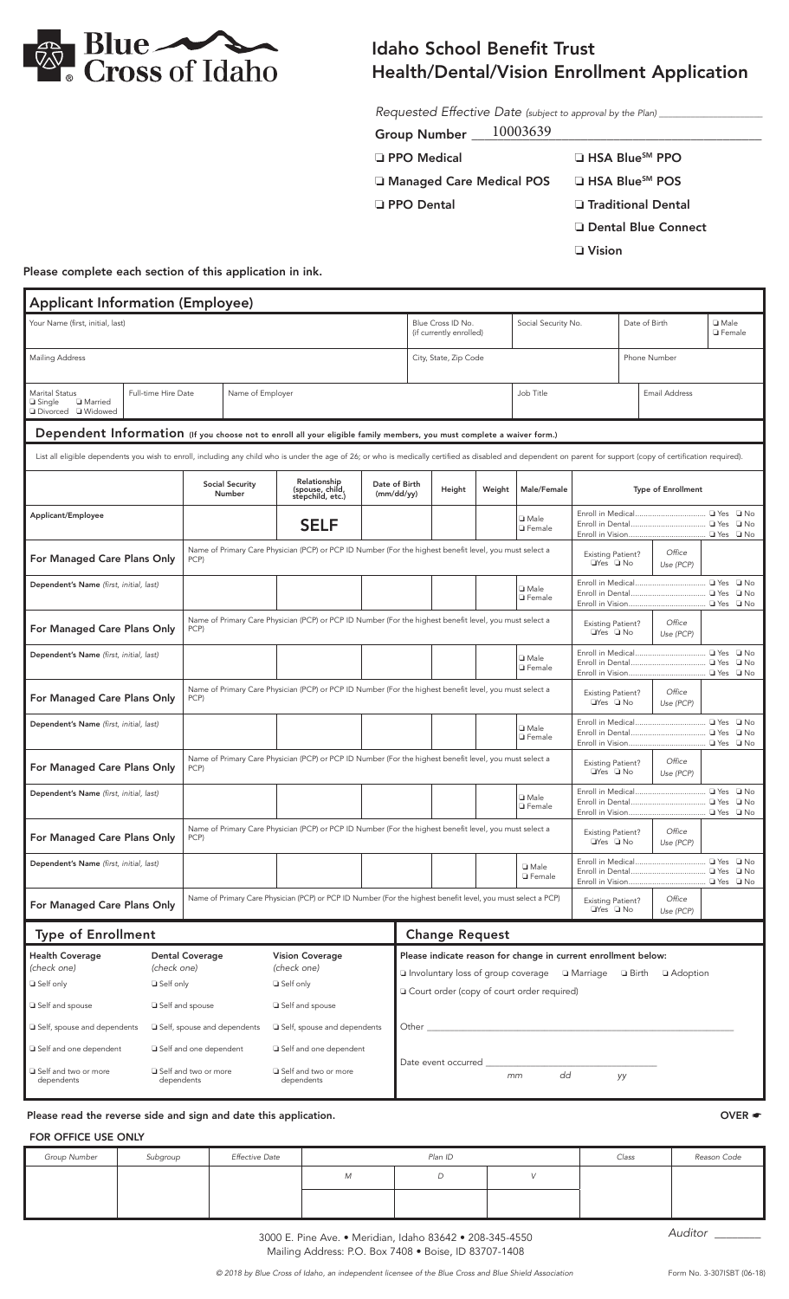

## Idaho School Benefit Trust Health/Dental/Vision Enrollment Application

*Requested Effective Date (subject to approval by the Plan) \_\_\_\_\_\_\_\_\_\_\_\_\_\_\_\_\_\_\_\_\_\_\_*

| <b>Group Number</b> | ,,,, |  |
|---------------------|------|--|
|                     |      |  |

| □ PPO Medical                      | □ HSA Blue <sup>sM</sup> PPO |
|------------------------------------|------------------------------|
| <b>La Managed Care Medical POS</b> | □ HSA Blue <sup>sM</sup> POS |

❏ PPO Dental ❏ Traditional Dental

❏ Dental Blue Connect

❏ Vision

Please complete each section of this application in ink.

| <b>Applicant Information (Employee)</b>                                                                                                                                                                          |                            |                                                  |                                                                                                         |                                                                                                              |                             |                                                                |                                                                         |                                  |                                                                                 |                                                  |                     |                           |                                  |              |
|------------------------------------------------------------------------------------------------------------------------------------------------------------------------------------------------------------------|----------------------------|--------------------------------------------------|---------------------------------------------------------------------------------------------------------|--------------------------------------------------------------------------------------------------------------|-----------------------------|----------------------------------------------------------------|-------------------------------------------------------------------------|----------------------------------|---------------------------------------------------------------------------------|--------------------------------------------------|---------------------|---------------------------|----------------------------------|--------------|
| Your Name (first, initial, last)                                                                                                                                                                                 |                            |                                                  |                                                                                                         |                                                                                                              |                             |                                                                | Blue Cross ID No.<br>(if currently enrolled)                            |                                  | Social Security No.                                                             |                                                  | Date of Birth       |                           | <b>Q</b> Male<br><b>Q</b> Female |              |
| <b>Mailing Address</b>                                                                                                                                                                                           |                            |                                                  |                                                                                                         |                                                                                                              |                             | City, State, Zip Code<br>Phone Number                          |                                                                         |                                  |                                                                                 |                                                  |                     |                           |                                  |              |
| Marital Status<br><b>Q</b> Married<br>□ Single<br>□ Divorced □ Widowed                                                                                                                                           | Full-time Hire Date        |                                                  | Name of Employer                                                                                        |                                                                                                              |                             | Job Title<br><b>Email Address</b>                              |                                                                         |                                  |                                                                                 |                                                  |                     |                           |                                  |              |
| Dependent Information (If you choose not to enroll all your eligible family members, you must complete a waiver form.)                                                                                           |                            |                                                  |                                                                                                         |                                                                                                              |                             |                                                                |                                                                         |                                  |                                                                                 |                                                  |                     |                           |                                  |              |
| List all eligible dependents you wish to enroll, including any child who is under the age of 26; or who is medically certified as disabled and dependent on parent for support (copy of certification required). |                            |                                                  |                                                                                                         |                                                                                                              |                             |                                                                |                                                                         |                                  |                                                                                 |                                                  |                     |                           |                                  |              |
|                                                                                                                                                                                                                  |                            |                                                  | <b>Social Security</b><br><b>Number</b>                                                                 | Relationship<br>(spouse, child,<br>stepchild, etc.)                                                          | Date of Birth<br>(mm/dd/yy) |                                                                | Height                                                                  | Weight                           | Male/Female                                                                     |                                                  |                     | <b>Type of Enrollment</b> |                                  |              |
| Applicant/Employee                                                                                                                                                                                               |                            |                                                  | <b>SELF</b>                                                                                             |                                                                                                              |                             |                                                                |                                                                         | <b>I</b> Male<br><b>Q</b> Female |                                                                                 |                                                  |                     |                           |                                  |              |
| For Managed Care Plans Only<br>PCP)                                                                                                                                                                              |                            |                                                  |                                                                                                         | Name of Primary Care Physician (PCP) or PCP ID Number (For the highest benefit level, you must select a      |                             |                                                                |                                                                         |                                  | Office<br><b>Existing Patient?</b><br>□Yes □ No<br>Use (PCP)                    |                                                  |                     |                           |                                  |              |
| Dependent's Name (first, initial, last)                                                                                                                                                                          |                            |                                                  |                                                                                                         |                                                                                                              |                             |                                                                | <b>I</b> Male<br><b>Q</b> Female                                        |                                  |                                                                                 |                                                  |                     |                           |                                  |              |
| For Managed Care Plans Only<br>PCP)                                                                                                                                                                              |                            |                                                  | Name of Primary Care Physician (PCP) or PCP ID Number (For the highest benefit level, you must select a |                                                                                                              |                             |                                                                | Office<br><b>Existing Patient?</b><br>$\Box$ Yes $\Box$ No<br>Use (PCP) |                                  |                                                                                 |                                                  |                     |                           |                                  |              |
| Dependent's Name (first, initial, last)                                                                                                                                                                          |                            |                                                  |                                                                                                         |                                                                                                              |                             |                                                                |                                                                         | <b>I</b> Male<br><b>O</b> Female |                                                                                 |                                                  |                     | $\square$ No              |                                  |              |
| For Managed Care Plans Only<br>PCP)                                                                                                                                                                              |                            |                                                  | Name of Primary Care Physician (PCP) or PCP ID Number (For the highest benefit level, you must select a |                                                                                                              |                             |                                                                | Office<br><b>Existing Patient?</b><br>□Yes □ No<br>Use (PCP)            |                                  |                                                                                 |                                                  |                     |                           |                                  |              |
| Dependent's Name (first, initial, last)                                                                                                                                                                          |                            |                                                  |                                                                                                         |                                                                                                              |                             |                                                                |                                                                         | <b>I</b> Male<br><b>Q</b> Female |                                                                                 |                                                  |                     |                           |                                  |              |
| Name of Primary Care Physician (PCP) or PCP ID Number (For the highest benefit level, you must select a<br>For Managed Care Plans Only<br>PCP)                                                                   |                            |                                                  |                                                                                                         |                                                                                                              |                             |                                                                |                                                                         |                                  | <b>Existing Patient?</b><br>$\Box$ Yes $\Box$ No                                |                                                  | Office<br>Use (PCP) |                           |                                  |              |
| Dependent's Name (first, initial, last)                                                                                                                                                                          |                            |                                                  |                                                                                                         |                                                                                                              |                             |                                                                |                                                                         |                                  | <b>I</b> Male<br><b>Q</b> Female                                                |                                                  |                     |                           |                                  | $\square$ No |
| For Managed Care Plans Only                                                                                                                                                                                      |                            | PCP)                                             |                                                                                                         | Name of Primary Care Physician (PCP) or PCP ID Number (For the highest benefit level, you must select a      |                             |                                                                |                                                                         |                                  |                                                                                 | <b>Existing Patient?</b><br>□Yes □ No            |                     | Office<br>Use (PCP)       |                                  |              |
| Dependent's Name (first, initial, last)                                                                                                                                                                          |                            |                                                  |                                                                                                         |                                                                                                              |                             |                                                                |                                                                         |                                  | □ Male<br><b>G</b> Female                                                       |                                                  |                     |                           |                                  |              |
| For Managed Care Plans Only                                                                                                                                                                                      |                            |                                                  |                                                                                                         | Name of Primary Care Physician (PCP) or PCP ID Number (For the highest benefit level, you must select a PCP) |                             |                                                                |                                                                         |                                  |                                                                                 | <b>Existing Patient?</b><br>$\Box$ Yes $\Box$ No |                     | Office<br>Use (PCP)       |                                  |              |
| <b>Type of Enrollment</b>                                                                                                                                                                                        |                            |                                                  |                                                                                                         |                                                                                                              |                             |                                                                | <b>Change Request</b>                                                   |                                  |                                                                                 |                                                  |                     |                           |                                  |              |
| <b>Health Coverage</b>                                                                                                                                                                                           |                            | <b>Dental Coverage</b>                           |                                                                                                         | <b>Vision Coverage</b>                                                                                       |                             | Please indicate reason for change in current enrollment below: |                                                                         |                                  |                                                                                 |                                                  |                     |                           |                                  |              |
| (check one)<br>Self only                                                                                                                                                                                         | (check one)<br>□ Self only |                                                  |                                                                                                         | (check one)<br>□ Self only                                                                                   |                             |                                                                |                                                                         |                                  | <b>□</b> Involuntary loss of group coverage • □ Marriage • □ Birth • □ Adoption |                                                  |                     |                           |                                  |              |
| □ Self and spouse                                                                                                                                                                                                |                            | □ Self and spouse                                |                                                                                                         | Self and spouse                                                                                              |                             |                                                                |                                                                         |                                  | O Court order (copy of court order required)                                    |                                                  |                     |                           |                                  |              |
| Self, spouse and dependents                                                                                                                                                                                      |                            | Self, spouse and dependents                      |                                                                                                         | □ Self, spouse and dependents                                                                                |                             | Other _                                                        |                                                                         |                                  |                                                                                 |                                                  |                     |                           |                                  |              |
| Self and one dependent<br>Self and two or more                                                                                                                                                                   |                            | Self and one dependent<br>□ Self and two or more |                                                                                                         | Self and one dependent<br>□ Self and two or more                                                             |                             |                                                                | Date event occurred                                                     |                                  | dd<br>mm                                                                        |                                                  | уу                  |                           |                                  |              |
| dependents                                                                                                                                                                                                       | dependents                 | dependents                                       |                                                                                                         |                                                                                                              |                             |                                                                |                                                                         |                                  |                                                                                 |                                                  |                     |                           |                                  |              |

Please read the reverse side and sign and date this application. The set of the set of the set of the set of the set of the set of the set of the set of the set of the set of the set of the set of the set of the set of the

## FOR OFFICE USE ONLY

| Group Number | Subgroup | <b>Effective Date</b> | Plan ID |   |  | Class | Reason Code          |
|--------------|----------|-----------------------|---------|---|--|-------|----------------------|
|              |          |                       | M       | D |  |       |                      |
|              |          |                       |         |   |  |       |                      |
|              |          |                       |         |   |  |       | $\sim$ $\sim$ $\sim$ |

3000 E. Pine Ave. • Meridian, Idaho 83642 • 208-345-4550 Mailing Address: P.O. Box 7408 • Boise, ID 83707-1408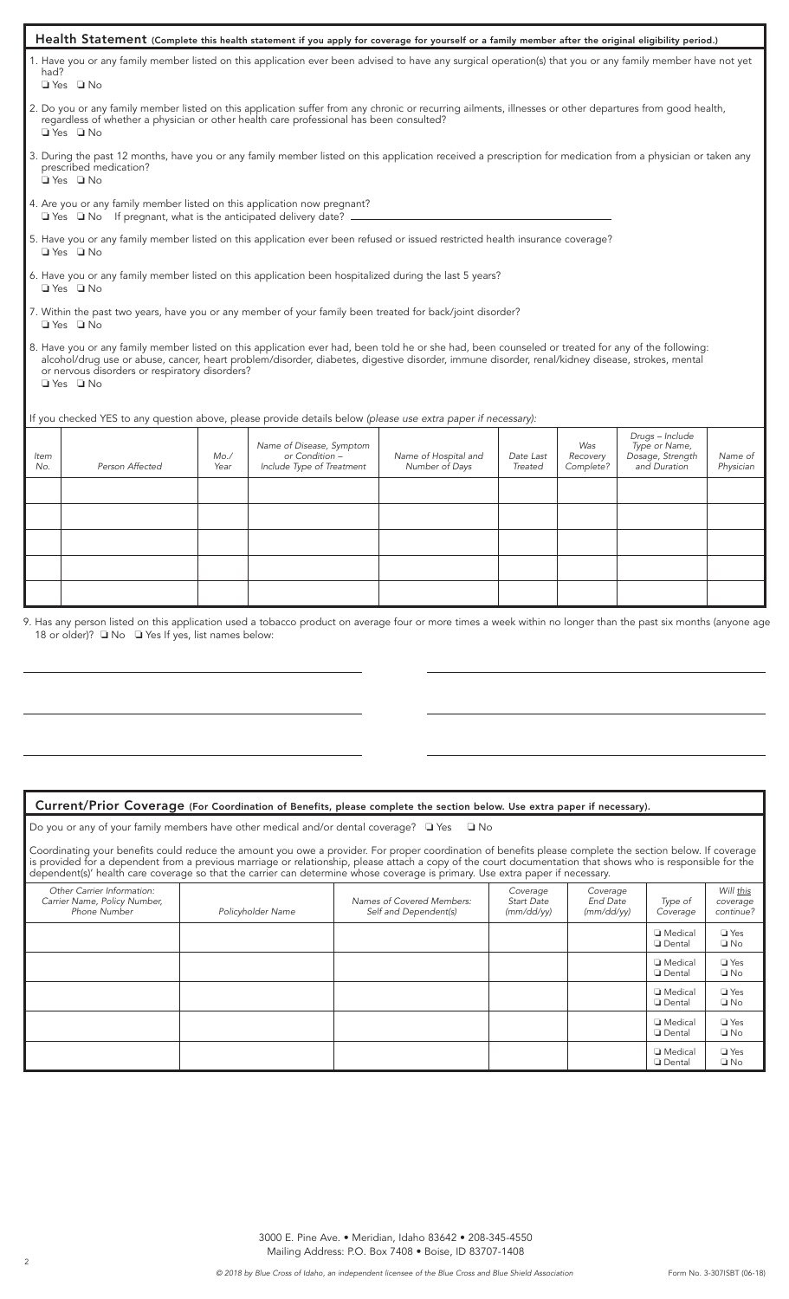|                                                                                                                                   |                                                                                                                                                      |             | Health Statement (Complete this health statement if you apply for coverage for yourself or a family member after the original eligibility period.)                                                                                                                                                    |                                        |                      |                              |                                                                      |                      |
|-----------------------------------------------------------------------------------------------------------------------------------|------------------------------------------------------------------------------------------------------------------------------------------------------|-------------|-------------------------------------------------------------------------------------------------------------------------------------------------------------------------------------------------------------------------------------------------------------------------------------------------------|----------------------------------------|----------------------|------------------------------|----------------------------------------------------------------------|----------------------|
| had?                                                                                                                              | $\Box$ Yes $\Box$ No                                                                                                                                 |             | 1. Have you or any family member listed on this application ever been advised to have any surgical operation(s) that you or any family member have not yet                                                                                                                                            |                                        |                      |                              |                                                                      |                      |
|                                                                                                                                   | $\Box$ Yes $\Box$ No                                                                                                                                 |             | 2. Do you or any family member listed on this application suffer from any chronic or recurring ailments, illnesses or other departures from good health,<br>regardless of whether a physician or other health care professional has been consulted?                                                   |                                        |                      |                              |                                                                      |                      |
|                                                                                                                                   | prescribed medication?<br>$\Box$ Yes $\Box$ No                                                                                                       |             | 3. During the past 12 months, have you or any family member listed on this application received a prescription for medication from a physician or taken any                                                                                                                                           |                                        |                      |                              |                                                                      |                      |
|                                                                                                                                   | 4. Are you or any family member listed on this application now pregnant?<br>$\Box$ Yes $\Box$ No If pregnant, what is the anticipated delivery date? |             |                                                                                                                                                                                                                                                                                                       |                                        |                      |                              |                                                                      |                      |
|                                                                                                                                   | $\Box$ Yes $\Box$ No                                                                                                                                 |             | 5. Have you or any family member listed on this application ever been refused or issued restricted health insurance coverage?                                                                                                                                                                         |                                        |                      |                              |                                                                      |                      |
|                                                                                                                                   | □ Yes □ No                                                                                                                                           |             | 6. Have you or any family member listed on this application been hospitalized during the last 5 years?                                                                                                                                                                                                |                                        |                      |                              |                                                                      |                      |
| 7. Within the past two years, have you or any member of your family been treated for back/joint disorder?<br>$\Box$ Yes $\Box$ No |                                                                                                                                                      |             |                                                                                                                                                                                                                                                                                                       |                                        |                      |                              |                                                                      |                      |
|                                                                                                                                   | or nervous disorders or respiratory disorders?<br>$\Box$ Yes $\Box$ No                                                                               |             | 8. Have you or any family member listed on this application ever had, been told he or she had, been counseled or treated for any of the following:<br>alcohol/drug use or abuse, cancer, heart problem/disorder, diabetes, digestive disorder, immune disorder, renal/kidney disease, strokes, mental |                                        |                      |                              |                                                                      |                      |
|                                                                                                                                   |                                                                                                                                                      |             | If you checked YES to any question above, please provide details below (please use extra paper if necessary):                                                                                                                                                                                         |                                        |                      |                              |                                                                      |                      |
| Item<br>No.                                                                                                                       | Person Affected                                                                                                                                      | Mo.<br>Year | Name of Disease, Symptom<br>or Condition -<br>Include Type of Treatment                                                                                                                                                                                                                               | Name of Hospital and<br>Number of Days | Date Last<br>Treated | Was<br>Recovery<br>Complete? | Drugs - Include<br>Type or Name,<br>Dosage, Strength<br>and Duration | Name of<br>Physician |
|                                                                                                                                   |                                                                                                                                                      |             |                                                                                                                                                                                                                                                                                                       |                                        |                      |                              |                                                                      |                      |
|                                                                                                                                   |                                                                                                                                                      |             |                                                                                                                                                                                                                                                                                                       |                                        |                      |                              |                                                                      |                      |
|                                                                                                                                   | 18 or older)? $\Box$ No $\Box$ Yes If yes, list names below:                                                                                         |             | 9. Has any person listed on this application used a tobacco product on average four or more times a week within no longer than the past six months (anyone age                                                                                                                                        |                                        |                      |                              |                                                                      |                      |

## Current/Prior Coverage (For Coordination of Benefits, please complete the section below. Use extra paper if necessary).

| Do you or any of your family members have other medical and/or dental coverage? $\square$ Yes $\square$ No |  |  |  |  |  |  |  |  |
|------------------------------------------------------------------------------------------------------------|--|--|--|--|--|--|--|--|
|------------------------------------------------------------------------------------------------------------|--|--|--|--|--|--|--|--|

Coordinating your benefits could reduce the amount you owe a provider. For proper coordination of benefits please complete the section below. If coverage is provided for a dependent from a previous marriage or relationship, please attach a copy of the court documentation that shows who is responsible for the dependent(s)' health care coverage so that the carrier can determine whose coverage is primary. Use extra paper if necessary.

| Other Carrier Information:<br>Carrier Name, Policy Number,<br>Phone Number | Policyholder Name | Names of Covered Members:<br>Self and Dependent(s) | Coverage<br><b>Start Date</b><br>(mm/dd/yy) | Coverage<br>End Date<br>(mm/dd/yy) | Type of<br>Coverage                 | Will <u>this</u><br>coverage<br>continue? |
|----------------------------------------------------------------------------|-------------------|----------------------------------------------------|---------------------------------------------|------------------------------------|-------------------------------------|-------------------------------------------|
|                                                                            |                   |                                                    |                                             |                                    | <b>I</b> Medical<br><b>Q</b> Dental | $\Box$ Yes<br>$\square$ No                |
|                                                                            |                   |                                                    |                                             |                                    | <b>I</b> Medical<br><b>Dental</b>   | $\Box$ Yes<br>$\Box$ No                   |
|                                                                            |                   |                                                    |                                             |                                    | <b>I</b> Medical<br><b>Q</b> Dental | $\Box$ Yes<br>$\square$ No                |
|                                                                            |                   |                                                    |                                             |                                    | <b>I</b> Medical<br><b>Q</b> Dental | $\Box$ Yes<br>$\square$ No                |
|                                                                            |                   |                                                    |                                             |                                    | <b>I</b> Medical<br><b>Q</b> Dental | $\Box$ Yes<br>$\square$ No                |

3000 E. Pine Ave. • Meridian, Idaho 83642 • 208-345-4550 Mailing Address: P.O. Box 7408 • Boise, ID 83707-1408